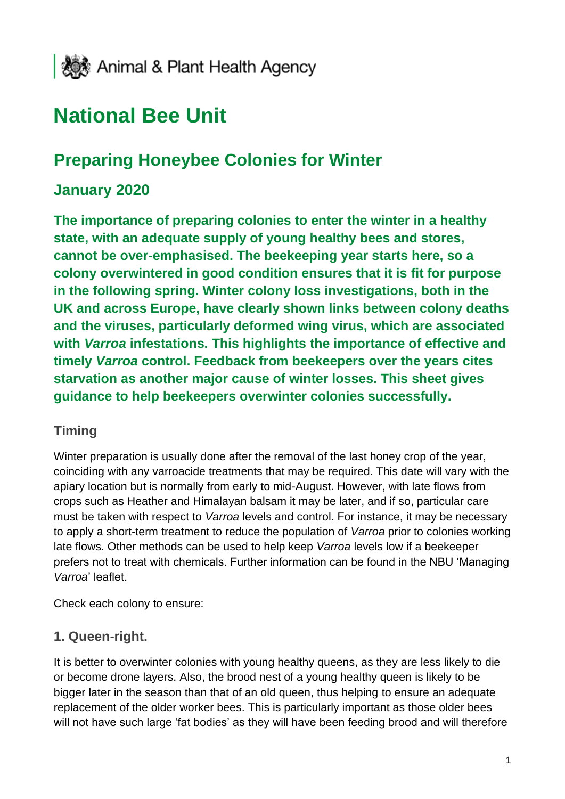

# **National Bee Unit**

# **Preparing Honeybee Colonies for Winter**

# **January 2020**

**The importance of preparing colonies to enter the winter in a healthy state, with an adequate supply of young healthy bees and stores, cannot be over-emphasised. The beekeeping year starts here, so a colony overwintered in good condition ensures that it is fit for purpose in the following spring. Winter colony loss investigations, both in the UK and across Europe, have clearly shown links between colony deaths and the viruses, particularly deformed wing virus, which are associated with** *Varroa* **infestations. This highlights the importance of effective and timely** *Varroa* **control. Feedback from beekeepers over the years cites starvation as another major cause of winter losses. This sheet gives guidance to help beekeepers overwinter colonies successfully.**

#### **Timing**

Winter preparation is usually done after the removal of the last honey crop of the year, coinciding with any varroacide treatments that may be required. This date will vary with the apiary location but is normally from early to mid-August. However, with late flows from crops such as Heather and Himalayan balsam it may be later, and if so, particular care must be taken with respect to *Varroa* levels and control. For instance, it may be necessary to apply a short-term treatment to reduce the population of *Varroa* prior to colonies working late flows. Other methods can be used to help keep *Varroa* levels low if a beekeeper prefers not to treat with chemicals. Further information can be found in the NBU 'Managing *Varroa*' leaflet.

Check each colony to ensure:

#### **1. Queen-right.**

It is better to overwinter colonies with young healthy queens, as they are less likely to die or become drone layers. Also, the brood nest of a young healthy queen is likely to be bigger later in the season than that of an old queen, thus helping to ensure an adequate replacement of the older worker bees. This is particularly important as those older bees will not have such large 'fat bodies' as they will have been feeding brood and will therefore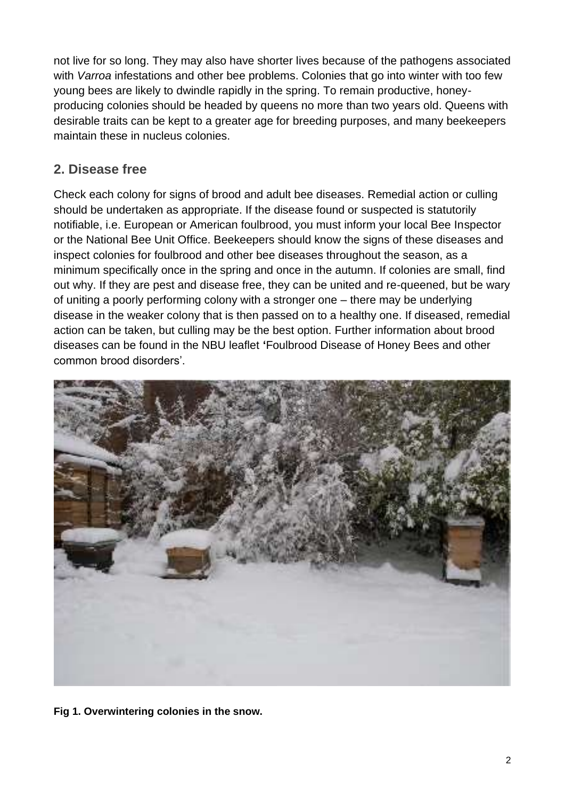not live for so long. They may also have shorter lives because of the pathogens associated with *Varroa* infestations and other bee problems. Colonies that go into winter with too few young bees are likely to dwindle rapidly in the spring. To remain productive, honeyproducing colonies should be headed by queens no more than two years old. Queens with desirable traits can be kept to a greater age for breeding purposes, and many beekeepers maintain these in nucleus colonies.

#### **2. Disease free**

Check each colony for signs of brood and adult bee diseases. Remedial action or culling should be undertaken as appropriate. If the disease found or suspected is statutorily notifiable, i.e. European or American foulbrood, you must inform your local Bee Inspector or the National Bee Unit Office. Beekeepers should know the signs of these diseases and inspect colonies for foulbrood and other bee diseases throughout the season, as a minimum specifically once in the spring and once in the autumn. If colonies are small, find out why. If they are pest and disease free, they can be united and re-queened, but be wary of uniting a poorly performing colony with a stronger one – there may be underlying disease in the weaker colony that is then passed on to a healthy one. If diseased, remedial action can be taken, but culling may be the best option. Further information about brood diseases can be found in the NBU leaflet **'**Foulbrood Disease of Honey Bees and other common brood disorders'.



**Fig 1. Overwintering colonies in the snow.**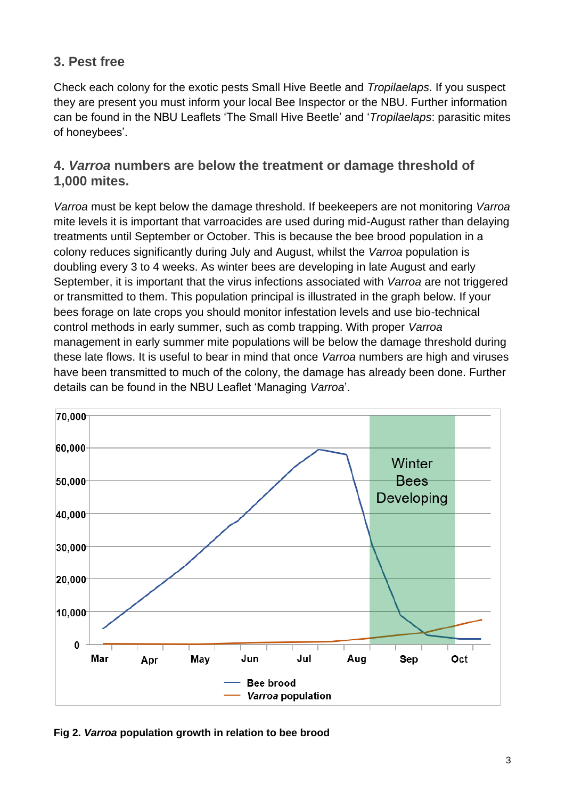### **3. Pest free**

Check each colony for the exotic pests Small Hive Beetle and *Tropilaelaps*. If you suspect they are present you must inform your local Bee Inspector or the NBU. Further information can be found in the NBU Leaflets 'The Small Hive Beetle' and '*Tropilaelaps*: parasitic mites of honeybees'.

#### **4.** *Varroa* **numbers are below the treatment or damage threshold of 1,000 mites.**

*Varroa* must be kept below the damage threshold. If beekeepers are not monitoring *Varroa* mite levels it is important that varroacides are used during mid-August rather than delaying treatments until September or October. This is because the bee brood population in a colony reduces significantly during July and August, whilst the *Varroa* population is doubling every 3 to 4 weeks. As winter bees are developing in late August and early September, it is important that the virus infections associated with *Varroa* are not triggered or transmitted to them. This population principal is illustrated in the graph below. If your bees forage on late crops you should monitor infestation levels and use bio-technical control methods in early summer, such as comb trapping. With proper *Varroa* management in early summer mite populations will be below the damage threshold during these late flows. It is useful to bear in mind that once *Varroa* numbers are high and viruses have been transmitted to much of the colony, the damage has already been done. Further details can be found in the NBU Leaflet 'Managing *Varroa*'.



**Fig 2.** *Varroa* **population growth in relation to bee brood**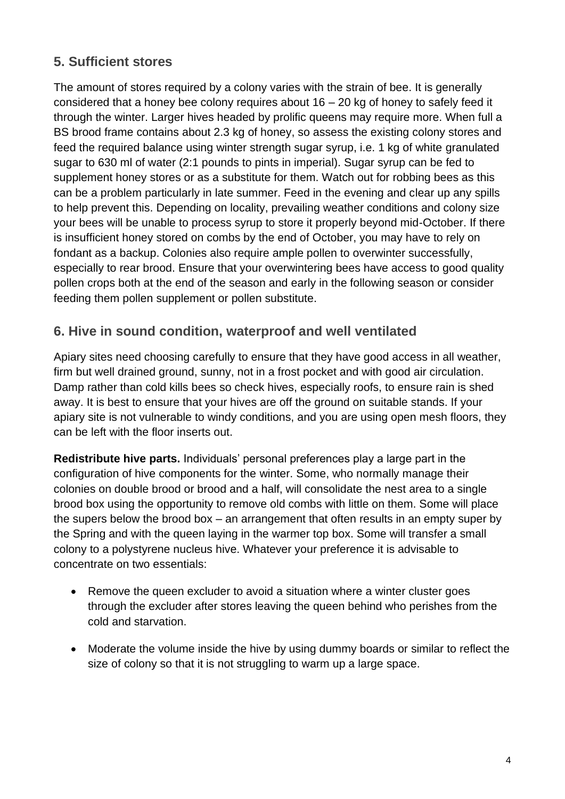#### **5. Sufficient stores**

The amount of stores required by a colony varies with the strain of bee. It is generally considered that a honey bee colony requires about  $16 - 20$  kg of honey to safely feed it through the winter. Larger hives headed by prolific queens may require more. When full a BS brood frame contains about 2.3 kg of honey, so assess the existing colony stores and feed the required balance using winter strength sugar syrup, i.e. 1 kg of white granulated sugar to 630 ml of water (2:1 pounds to pints in imperial). Sugar syrup can be fed to supplement honey stores or as a substitute for them. Watch out for robbing bees as this can be a problem particularly in late summer. Feed in the evening and clear up any spills to help prevent this. Depending on locality, prevailing weather conditions and colony size your bees will be unable to process syrup to store it properly beyond mid-October. If there is insufficient honey stored on combs by the end of October, you may have to rely on fondant as a backup. Colonies also require ample pollen to overwinter successfully, especially to rear brood. Ensure that your overwintering bees have access to good quality pollen crops both at the end of the season and early in the following season or consider feeding them pollen supplement or pollen substitute.

#### **6. Hive in sound condition, waterproof and well ventilated**

Apiary sites need choosing carefully to ensure that they have good access in all weather, firm but well drained ground, sunny, not in a frost pocket and with good air circulation. Damp rather than cold kills bees so check hives, especially roofs, to ensure rain is shed away. It is best to ensure that your hives are off the ground on suitable stands. If your apiary site is not vulnerable to windy conditions, and you are using open mesh floors, they can be left with the floor inserts out.

**Redistribute hive parts.** Individuals' personal preferences play a large part in the configuration of hive components for the winter. Some, who normally manage their colonies on double brood or brood and a half, will consolidate the nest area to a single brood box using the opportunity to remove old combs with little on them. Some will place the supers below the brood box – an arrangement that often results in an empty super by the Spring and with the queen laying in the warmer top box. Some will transfer a small colony to a polystyrene nucleus hive. Whatever your preference it is advisable to concentrate on two essentials:

- Remove the queen excluder to avoid a situation where a winter cluster goes through the excluder after stores leaving the queen behind who perishes from the cold and starvation.
- Moderate the volume inside the hive by using dummy boards or similar to reflect the size of colony so that it is not struggling to warm up a large space.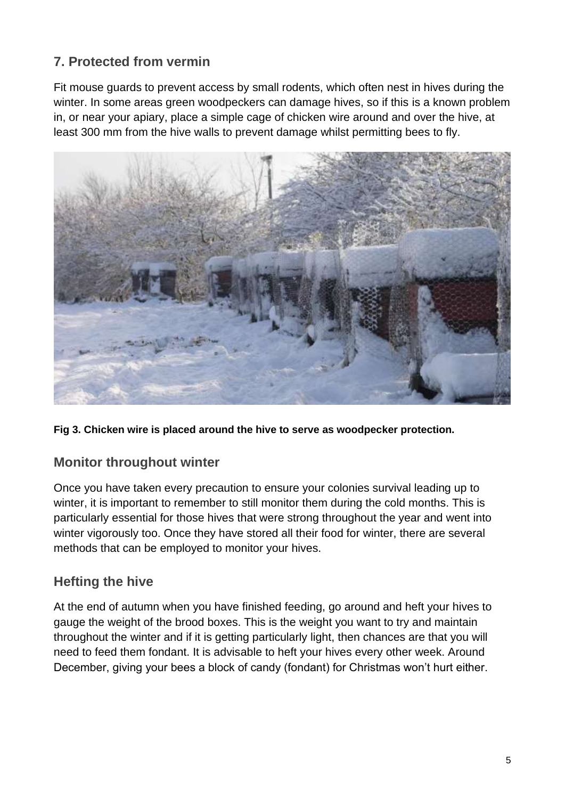## **7. Protected from vermin**

Fit mouse guards to prevent access by small rodents, which often nest in hives during the winter. In some areas green woodpeckers can damage hives, so if this is a known problem in, or near your apiary, place a simple cage of chicken wire around and over the hive, at least 300 mm from the hive walls to prevent damage whilst permitting bees to fly.



**Fig 3. Chicken wire is placed around the hive to serve as woodpecker protection.**

#### **Monitor throughout winter**

Once you have taken every precaution to ensure your colonies survival leading up to winter, it is important to remember to still monitor them during the cold months. This is particularly essential for those hives that were strong throughout the year and went into winter vigorously too. Once they have stored all their food for winter, there are several methods that can be employed to monitor your hives.

#### **Hefting the hive**

At the end of autumn when you have finished feeding, go around and heft your hives to gauge the weight of the brood boxes. This is the weight you want to try and maintain throughout the winter and if it is getting particularly light, then chances are that you will need to feed them fondant. It is advisable to heft your hives every other week. Around December, giving your bees a block of candy (fondant) for Christmas won't hurt either.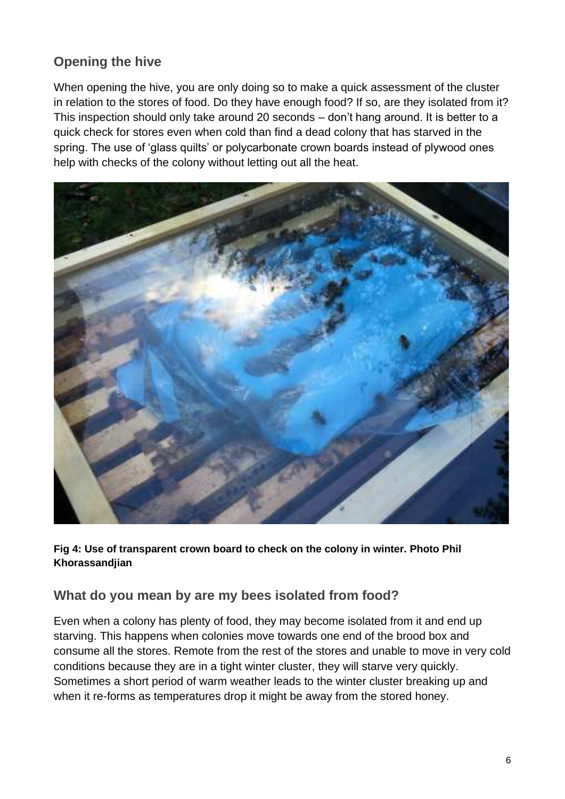# **Opening the hive**

When opening the hive, you are only doing so to make a quick assessment of the cluster in relation to the stores of food. Do they have enough food? If so, are they isolated from it? This inspection should only take around 20 seconds – don't hang around. It is better to a quick check for stores even when cold than find a dead colony that has starved in the spring. The use of 'glass quilts' or polycarbonate crown boards instead of plywood ones help with checks of the colony without letting out all the heat.



**Fig 4: Use of transparent crown board to check on the colony in winter. Photo Phil Khorassandjian**

#### **What do you mean by are my bees isolated from food?**

Even when a colony has plenty of food, they may become isolated from it and end up starving. This happens when colonies move towards one end of the brood box and consume all the stores. Remote from the rest of the stores and unable to move in very cold conditions because they are in a tight winter cluster, they will starve very quickly. Sometimes a short period of warm weather leads to the winter cluster breaking up and when it re-forms as temperatures drop it might be away from the stored honey.